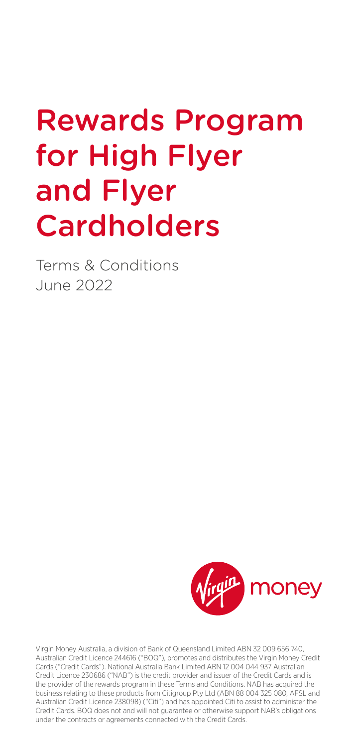# Rewards Program for High Flyer and Flyer **Cardholders**

Terms & Conditions June 2022



Virgin Money Australia, a division of Bank of Queensland Limited ABN 32 009 656 740, Australian Credit Licence 244616 ("BOQ"), promotes and distributes the Virgin Money Credit Cards ("Credit Cards"). National Australia Bank Limited ABN 12 004 044 937 Australian Credit Licence 230686 ("NAB") is the credit provider and issuer of the Credit Cards and is the provider of the rewards program in these Terms and Conditions. NAB has acquired the business relating to these products from Citigroup Pty Ltd (ABN 88 004 325 080, AFSL and Australian Credit Licence 238098) ("Citi") and has appointed Citi to assist to administer the Credit Cards. BOQ does not and will not guarantee or otherwise support NAB's obligations under the contracts or agreements connected with the Credit Cards.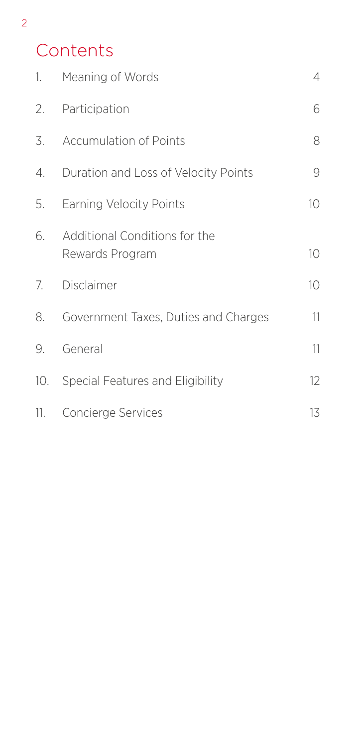#### **Contents**

|    | 1. Meaning of Words                              | 4  |
|----|--------------------------------------------------|----|
| 2. | Participation                                    | 6  |
| 3. | <b>Accumulation of Points</b>                    | 8  |
| 4. | Duration and Loss of Velocity Points             | 9  |
| 5. | <b>Earning Velocity Points</b>                   | 10 |
| 6. | Additional Conditions for the<br>Rewards Program | 10 |
| 7. | Disclaimer                                       | 10 |
| 8. | Government Taxes, Duties and Charges             | 11 |
| 9. | General                                          | 11 |
|    | 10. Special Features and Eligibility             | 12 |
|    | 11. Concierge Services                           | 13 |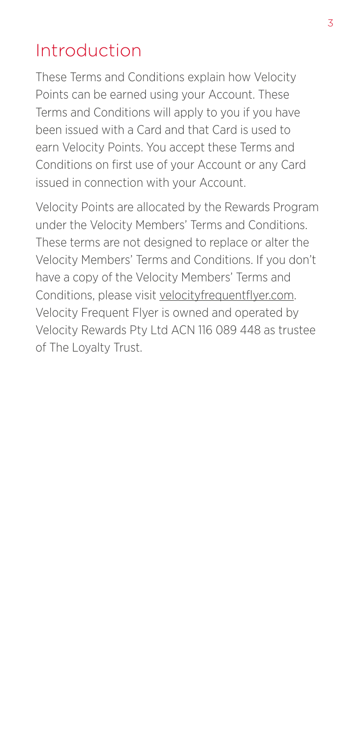#### Introduction

These Terms and Conditions explain how Velocity Points can be earned using your Account. These Terms and Conditions will apply to you if you have been issued with a Card and that Card is used to earn Velocity Points. You accept these Terms and Conditions on first use of your Account or any Card issued in connection with your Account.

Velocity Points are allocated by the Rewards Program under the Velocity Members' Terms and Conditions. These terms are not designed to replace or alter the Velocity Members' Terms and Conditions. If you don't have a copy of the Velocity Members' Terms and Conditions, please visit [velocityfrequentflyer.com](http://www.velocityfrequentflyer.com). Velocity Frequent Flyer is owned and operated by Velocity Rewards Pty Ltd ACN 116 089 448 as trustee of The Loyalty Trust.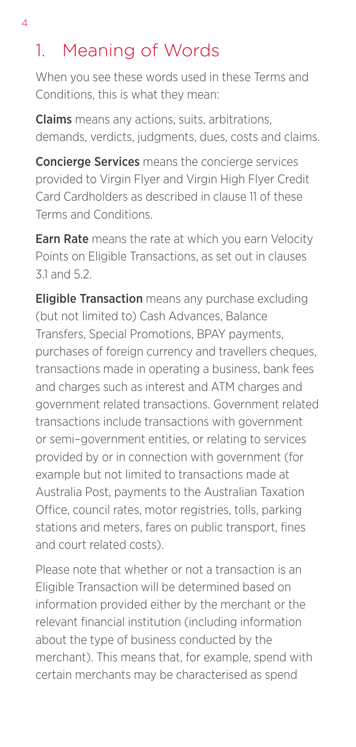# <span id="page-3-0"></span>1. Meaning of Words

When you see these words used in these Terms and Conditions, this is what they mean:

Claims means any actions, suits, arbitrations, demands, verdicts, judgments, dues, costs and claims.

**Concierge Services** means the concierge services provided to Virgin Flyer and Virgin High Flyer Credit Card Cardholders as described in clause 11 of these Terms and Conditions.

**Earn Rate** means the rate at which you earn Velocity Points on Eligible Transactions, as set out in clauses 3.1 and 5.2.

**Eligible Transaction** means any purchase excluding (but not limited to) Cash Advances, Balance Transfers, Special Promotions, BPAY payments, purchases of foreign currency and travellers cheques, transactions made in operating a business, bank fees and charges such as interest and ATM charges and government related transactions. Government related transactions include transactions with government or semi–government entities, or relating to services provided by or in connection with government (for example but not limited to transactions made at Australia Post, payments to the Australian Taxation Office, council rates, motor registries, tolls, parking stations and meters, fares on public transport, fines and court related costs).

Please note that whether or not a transaction is an Eligible Transaction will be determined based on information provided either by the merchant or the relevant financial institution (including information about the type of business conducted by the merchant). This means that, for example, spend with certain merchants may be characterised as spend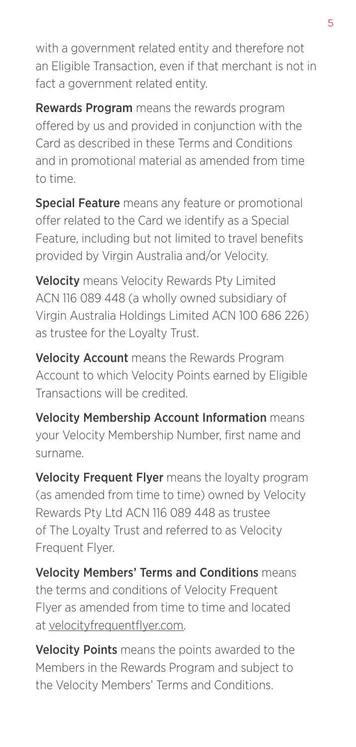with a government related entity and therefore not an Eligible Transaction, even if that merchant is not in fact a government related entity.

**Rewards Program** means the rewards program offered by us and provided in conjunction with the Card as described in these Terms and Conditions and in promotional material as amended from time to time.

Special Feature means any feature or promotional offer related to the Card we identify as a Special Feature, including but not limited to travel benefits provided by Virgin Australia and/or Velocity.

**Velocity** means Velocity Rewards Pty Limited ACN 116 089 448 (a wholly owned subsidiary of Virgin Australia Holdings Limited ACN 100 686 226) as trustee for the Loyalty Trust.

Velocity Account means the Rewards Program Account to which Velocity Points earned by Eligible Transactions will be credited.

Velocity Membership Account Information means your Velocity Membership Number, first name and surname.

Velocity Frequent Flyer means the loyalty program (as amended from time to time) owned by Velocity Rewards Pty Ltd ACN 116 089 448 as trustee of The Loyalty Trust and referred to as Velocity Frequent Flyer.

Velocity Members' Terms and Conditions means the terms and conditions of Velocity Frequent Flyer as amended from time to time and located at [velocityfrequentflyer.com](http://www.velocityfrequentflyer.com).

Velocity Points means the points awarded to the Members in the Rewards Program and subject to the Velocity Members' Terms and Conditions.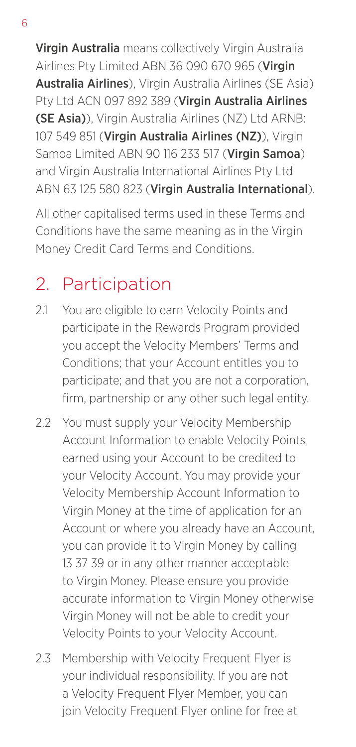<span id="page-5-0"></span>Virgin Australia means collectively Virgin Australia Airlines Pty Limited ABN 36 090 670 965 (Virgin Australia Airlines), Virgin Australia Airlines (SE Asia) Pty Ltd ACN 097 892 389 (Virgin Australia Airlines (SE Asia)), Virgin Australia Airlines (NZ) Ltd ARNB: 107 549 851 (Virgin Australia Airlines (NZ)), Virgin Samoa Limited ABN 90 116 233 517 (**Virgin Samoa**) and Virgin Australia International Airlines Pty Ltd ABN 63 125 580 823 (Virgin Australia International).

All other capitalised terms used in these Terms and Conditions have the same meaning as in the Virgin Money Credit Card Terms and Conditions.

# 2. Participation

- 2.1 You are eligible to earn Velocity Points and participate in the Rewards Program provided you accept the Velocity Members' Terms and Conditions; that your Account entitles you to participate; and that you are not a corporation, firm, partnership or any other such legal entity.
- 2.2 You must supply your Velocity Membership Account Information to enable Velocity Points earned using your Account to be credited to your Velocity Account. You may provide your Velocity Membership Account Information to Virgin Money at the time of application for an Account or where you already have an Account, you can provide it to Virgin Money by calling 13 37 39 or in any other manner acceptable to Virgin Money. Please ensure you provide accurate information to Virgin Money otherwise Virgin Money will not be able to credit your Velocity Points to your Velocity Account.
- 2.3 Membership with Velocity Frequent Flyer is your individual responsibility. If you are not a Velocity Frequent Flyer Member, you can join Velocity Frequent Flyer online for free at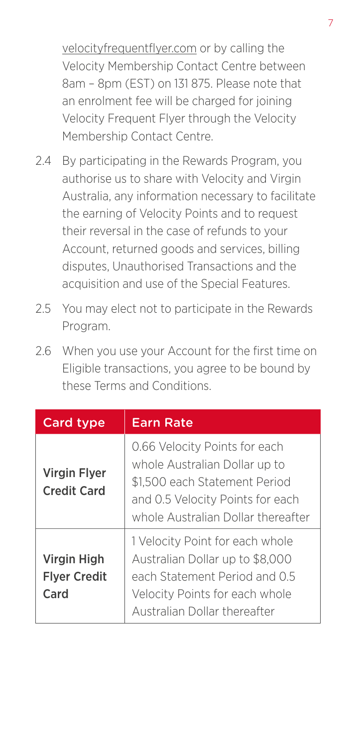[velocityfrequentflyer.com](http://www.velocityfrequentflyer.com) or by calling the Velocity Membership Contact Centre between 8am – 8pm (EST) on 131 875. Please note that an enrolment fee will be charged for joining Velocity Frequent Flyer through the Velocity Membership Contact Centre.

- 2.4 By participating in the Rewards Program, you authorise us to share with Velocity and Virgin Australia, any information necessary to facilitate the earning of Velocity Points and to request their reversal in the case of refunds to your Account, returned goods and services, billing disputes, Unauthorised Transactions and the acquisition and use of the Special Features.
- 2.5 You may elect not to participate in the Rewards Program.
- 2.6 When you use your Account for the first time on Eligible transactions, you agree to be bound by these Terms and Conditions.

| Card type                                  | <b>Earn Rate</b>                                                                                                                                                          |  |
|--------------------------------------------|---------------------------------------------------------------------------------------------------------------------------------------------------------------------------|--|
| <b>Virgin Flyer</b><br><b>Credit Card</b>  | 0.66 Velocity Points for each<br>whole Australian Dollar up to<br>\$1.500 each Statement Period<br>and 0.5 Velocity Points for each<br>whole Australian Dollar thereafter |  |
| Virgin High<br><b>Flyer Credit</b><br>Card | 1 Velocity Point for each whole<br>Australian Dollar up to \$8,000<br>each Statement Period and 0.5<br>Velocity Points for each whole<br>Australian Dollar thereafter     |  |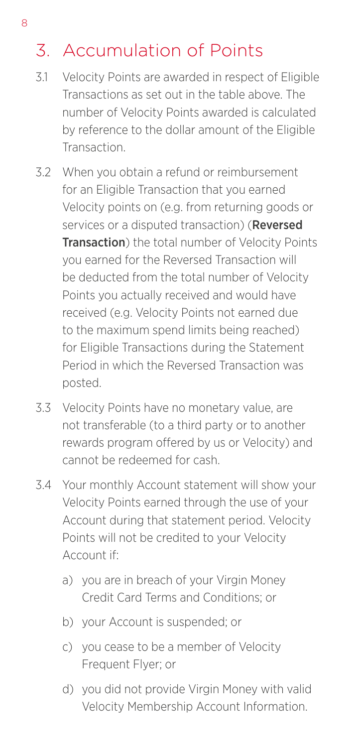# <span id="page-7-0"></span>3. Accumulation of Points

- 3.1 Velocity Points are awarded in respect of Eligible Transactions as set out in the table above. The number of Velocity Points awarded is calculated by reference to the dollar amount of the Eligible Transaction.
- 3.2 When you obtain a refund or reimbursement for an Eligible Transaction that you earned Velocity points on (e.g. from returning goods or services or a disputed transaction) (**Reversed Transaction**) the total number of Velocity Points you earned for the Reversed Transaction will be deducted from the total number of Velocity Points you actually received and would have received (e.g. Velocity Points not earned due to the maximum spend limits being reached) for Eligible Transactions during the Statement Period in which the Reversed Transaction was posted.
- 3.3 Velocity Points have no monetary value, are not transferable (to a third party or to another rewards program offered by us or Velocity) and cannot be redeemed for cash.
- 3.4 Your monthly Account statement will show your Velocity Points earned through the use of your Account during that statement period. Velocity Points will not be credited to your Velocity Account if:
	- a) you are in breach of your Virgin Money Credit Card Terms and Conditions; or
	- b) your Account is suspended; or
	- c) you cease to be a member of Velocity Frequent Flyer; or
	- d) you did not provide Virgin Money with valid Velocity Membership Account Information.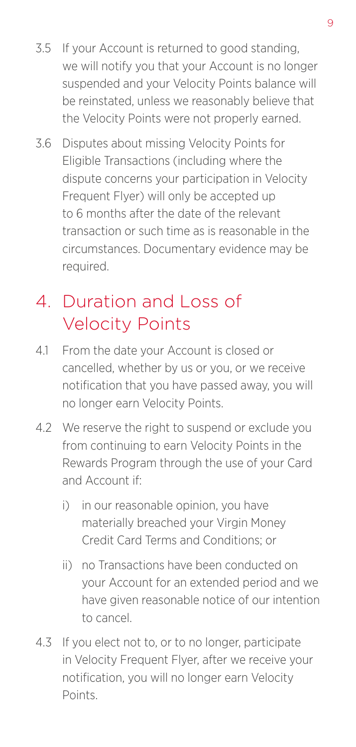- <span id="page-8-0"></span>3.5 If your Account is returned to good standing, we will notify you that your Account is no longer suspended and your Velocity Points balance will be reinstated, unless we reasonably believe that the Velocity Points were not properly earned.
- 3.6 Disputes about missing Velocity Points for Eligible Transactions (including where the dispute concerns your participation in Velocity Frequent Flyer) will only be accepted up to 6 months after the date of the relevant transaction or such time as is reasonable in the circumstances. Documentary evidence may be required.

## 4. Duration and Loss of Velocity Points

- 4.1 From the date your Account is closed or cancelled, whether by us or you, or we receive notification that you have passed away, you will no longer earn Velocity Points.
- 4.2 We reserve the right to suspend or exclude you from continuing to earn Velocity Points in the Rewards Program through the use of your Card and Account if:
	- i) in our reasonable opinion, you have materially breached your Virgin Money Credit Card Terms and Conditions; or
	- ii) no Transactions have been conducted on your Account for an extended period and we have given reasonable notice of our intention to cancel.
- 4.3 If you elect not to, or to no longer, participate in Velocity Frequent Flyer, after we receive your notification, you will no longer earn Velocity Points.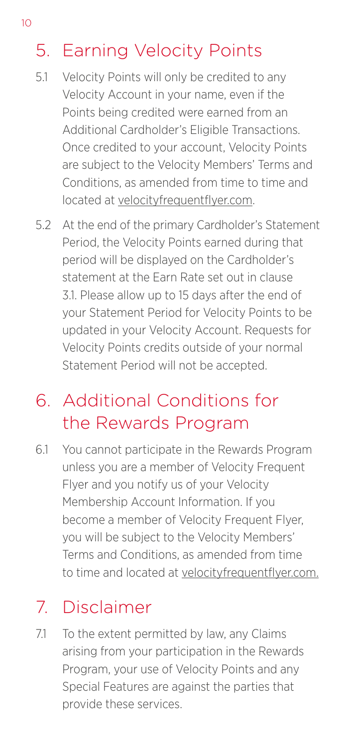## <span id="page-9-0"></span>5. Earning Velocity Points

- 5.1 Velocity Points will only be credited to any Velocity Account in your name, even if the Points being credited were earned from an Additional Cardholder's Eligible Transactions. Once credited to your account, Velocity Points are subject to the Velocity Members' Terms and Conditions, as amended from time to time and located at [velocityfrequentflyer.com](http://www.velocityfrequentflyer.com).
- 5.2 At the end of the primary Cardholder's Statement Period, the Velocity Points earned during that period will be displayed on the Cardholder's statement at the Earn Rate set out in clause 3.1. Please allow up to 15 days after the end of your Statement Period for Velocity Points to be updated in your Velocity Account. Requests for Velocity Points credits outside of your normal Statement Period will not be accepted.

#### 6. Additional Conditions for the Rewards Program

6.1 You cannot participate in the Rewards Program unless you are a member of Velocity Frequent Flyer and you notify us of your Velocity Membership Account Information. If you become a member of Velocity Frequent Flyer. you will be subject to the Velocity Members' Terms and Conditions, as amended from time to time and located at [velocityfrequentflyer.com](http://www.velocityfrequentflyer.com).

## 7. Disclaimer

7.1 To the extent permitted by law, any Claims arising from your participation in the Rewards Program, your use of Velocity Points and any Special Features are against the parties that provide these services.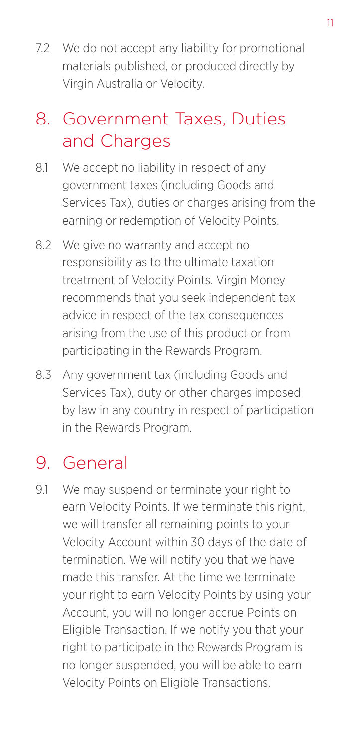<span id="page-10-0"></span>7.2 We do not accept any liability for promotional materials published, or produced directly by Virgin Australia or Velocity.

#### 8. Government Taxes, Duties and Charges

- 8.1 We accept no liability in respect of any government taxes (including Goods and Services Tax), duties or charges arising from the earning or redemption of Velocity Points.
- 8.2 We give no warranty and accept no responsibility as to the ultimate taxation treatment of Velocity Points. Virgin Money recommends that you seek independent tax advice in respect of the tax consequences arising from the use of this product or from participating in the Rewards Program.
- 8.3 Any government tax (including Goods and Services Tax), duty or other charges imposed by law in any country in respect of participation in the Rewards Program.

#### 9. General

9.1 We may suspend or terminate your right to earn Velocity Points. If we terminate this right, we will transfer all remaining points to your Velocity Account within 30 days of the date of termination. We will notify you that we have made this transfer. At the time we terminate your right to earn Velocity Points by using your Account, you will no longer accrue Points on Eligible Transaction. If we notify you that your right to participate in the Rewards Program is no longer suspended, you will be able to earn Velocity Points on Eligible Transactions.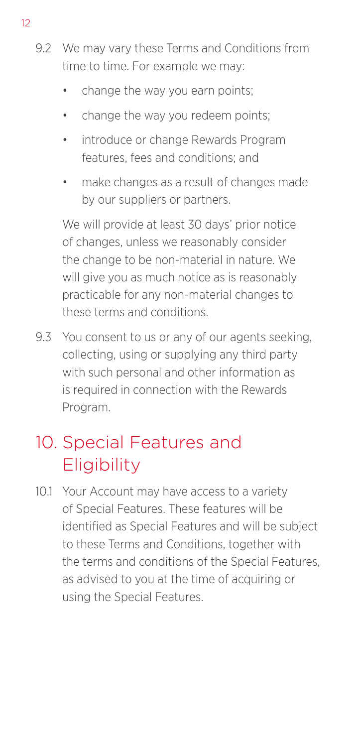- <span id="page-11-0"></span>9.2 We may vary these Terms and Conditions from time to time. For example we may:
	- change the way you earn points;
	- change the way you redeem points;
	- introduce or change Rewards Program features, fees and conditions; and
	- make changes as a result of changes made by our suppliers or partners.

We will provide at least 30 days' prior notice of changes, unless we reasonably consider the change to be non-material in nature. We will give you as much notice as is reasonably practicable for any non-material changes to these terms and conditions.

9.3 You consent to us or any of our agents seeking, collecting, using or supplying any third party with such personal and other information as is required in connection with the Rewards Program.

## 10. Special Features and **Eligibility**

10.1 Your Account may have access to a variety of Special Features. These features will be identified as Special Features and will be subject to these Terms and Conditions, together with the terms and conditions of the Special Features, as advised to you at the time of acquiring or using the Special Features.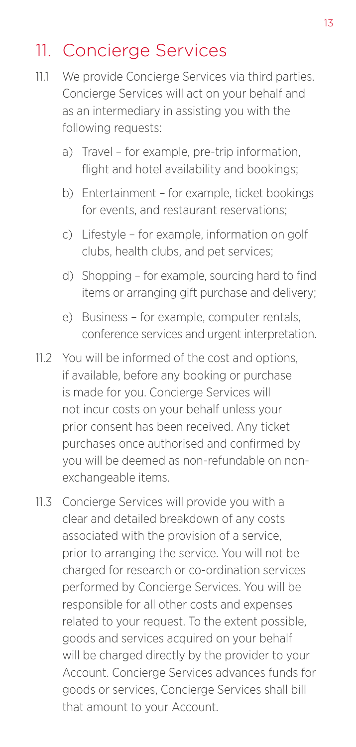## <span id="page-12-0"></span>11. Concierge Services

- 11.1 We provide Concierge Services via third parties. Concierge Services will act on your behalf and as an intermediary in assisting you with the following requests:
	- a) Travel for example, pre-trip information, flight and hotel availability and bookings;
	- b) Entertainment for example, ticket bookings for events, and restaurant reservations;
	- c) Lifestyle for example, information on golf clubs, health clubs, and pet services;
	- d) Shopping for example, sourcing hard to find items or arranging gift purchase and delivery;
	- e) Business for example, computer rentals, conference services and urgent interpretation.
- 11.2 You will be informed of the cost and options, if available, before any booking or purchase is made for you. Concierge Services will not incur costs on your behalf unless your prior consent has been received. Any ticket purchases once authorised and confirmed by you will be deemed as non-refundable on nonexchangeable items.
- 11.3 Concierge Services will provide you with a clear and detailed breakdown of any costs associated with the provision of a service, prior to arranging the service. You will not be charged for research or co-ordination services performed by Concierge Services. You will be responsible for all other costs and expenses related to your request. To the extent possible, goods and services acquired on your behalf will be charged directly by the provider to your Account. Concierge Services advances funds for goods or services, Concierge Services shall bill that amount to your Account.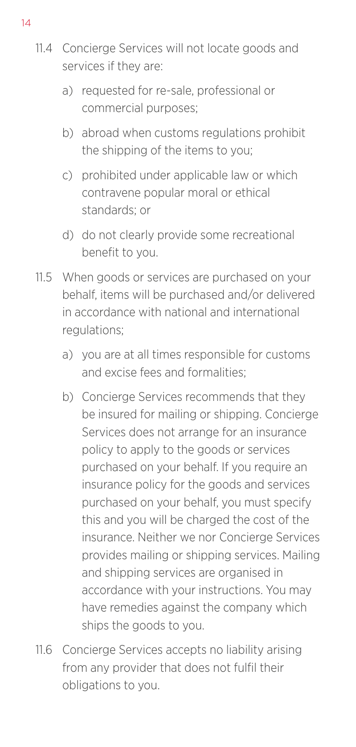- 11.4 Concierge Services will not locate goods and services if they are:
	- a) requested for re-sale, professional or commercial purposes;
	- b) abroad when customs regulations prohibit the shipping of the items to you;
	- c) prohibited under applicable law or which contravene popular moral or ethical standards; or
	- d) do not clearly provide some recreational benefit to you.
- 11.5 When goods or services are purchased on your behalf, items will be purchased and/or delivered in accordance with national and international regulations;
	- a) you are at all times responsible for customs and excise fees and formalities;
	- b) Concierge Services recommends that they be insured for mailing or shipping. Concierge Services does not arrange for an insurance policy to apply to the goods or services purchased on your behalf. If you require an insurance policy for the goods and services purchased on your behalf, you must specify this and you will be charged the cost of the insurance. Neither we nor Concierge Services provides mailing or shipping services. Mailing and shipping services are organised in accordance with your instructions. You may have remedies against the company which ships the goods to you.
- 11.6 Concierge Services accepts no liability arising from any provider that does not fulfil their obligations to you.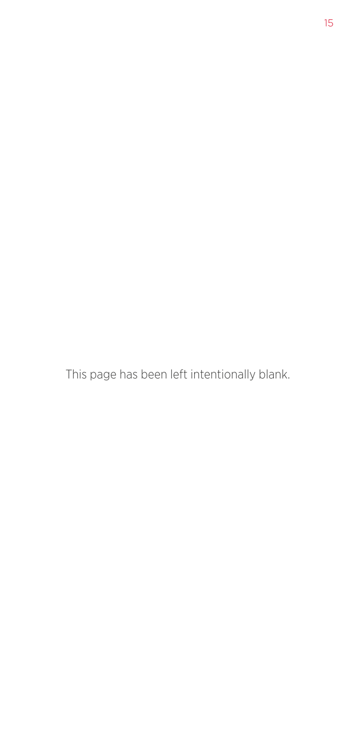This page has been left intentionally blank.